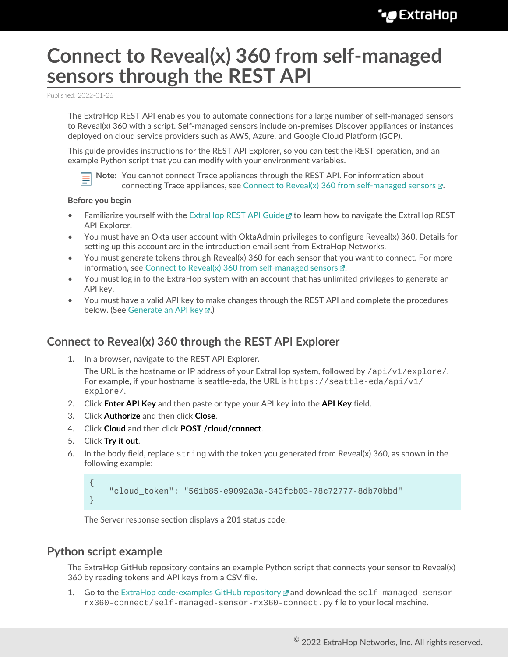## **Connect to Reveal(x) 360 from self-managed sensors through the REST API**

Published: 2022-01-26

The ExtraHop REST API enables you to automate connections for a large number of self-managed sensors to Reveal(x) 360 with a script. Self-managed sensors include on-premises Discover appliances or instances deployed on cloud service providers such as AWS, Azure, and Google Cloud Platform (GCP).

This guide provides instructions for the REST API Explorer, so you can test the REST operation, and an example Python script that you can modify with your environment variables.



**Note:** You cannot connect Trace appliances through the REST API. For information about connecting Trace appliances, see [Connect to Reveal\(x\) 360 from self-managed sensors](https://docs.extrahop.com/8.7/configure-ccp)  $\mathbb{Z}$ .

## **Before you begin**

- Familiarize yourself with the [ExtraHop REST API Guide](https://docs.extrahop.com/8.7/rest-api-guide) Learn ow to navigate the ExtraHop REST API Explorer.
- You must have an Okta user account with OktaAdmin privileges to configure Reveal(x) 360. Details for setting up this account are in the introduction email sent from ExtraHop Networks.
- You must generate tokens through Reveal(x) 360 for each sensor that you want to connect. For more information, see [Connect to Reveal\(x\) 360 from self-managed sensors](https://docs.extrahop.com/8.7/configure-ccp)  $\mathbb{Z}$ .
- You must log in to the ExtraHop system with an account that has unlimited privileges to generate an API key.
- You must have a valid API key to make changes through the REST API and complete the procedures below. (See [Generate an API key](https://docs.extrahop.com/8.7/rest-api-guide/#generate-an-api-key) ...)

## **Connect to Reveal(x) 360 through the REST API Explorer**

1. In a browser, navigate to the REST API Explorer.

The URL is the hostname or IP address of your ExtraHop system, followed by  $\pi$ i/v1/explore/. For example, if your hostname is seattle-eda, the URL is  $h$ thes://seattle-eda/api/v1/ explore/.

- 2. Click **Enter API Key** and then paste or type your API key into the **API Key** field.
- 3. Click **Authorize** and then click **Close**.
- 4. Click **Cloud** and then click **POST /cloud/connect**.
- 5. Click **Try it out**.
- 6. In the body field, replace  $string$  with the token you generated from Reveal(x) 360, as shown in the following example:

```
{
     "cloud_token": "561b85-e9092a3a-343fcb03-78c72777-8db70bbd"
}
```
The Server response section displays a 201 status code.

## **Python script example**

The ExtraHop GitHub repository contains an example Python script that connects your sensor to Reveal(x) 360 by reading tokens and API keys from a CSV file.

1. Go to the [ExtraHop code-examples GitHub repository](https://github.com/ExtraHop/code-examples/tree/main/self-managed-sensor-rx360-connect)  $\mathbb Z$  and download the self-managed-sensorrx360-connect/self-managed-sensor-rx360-connect.py file to your local machine.